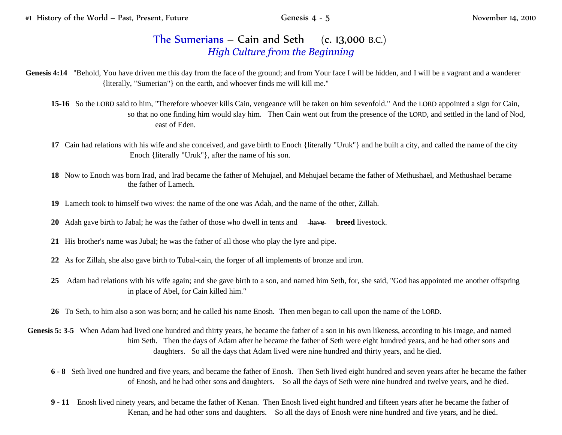## The Sumerians – Cain and Seth  $(c. 13,000 B.C.)$ *High Culture from the Beginning*

- Genesis 4:14 "Behold, You have driven me this day from the face of the ground; and from Your face I will be hidden, and I will be a vagrant and a wanderer {literally, "Sumerian"} on the earth, and whoever finds me will kill me."
	- **15-16** So the LORD said to him, "Therefore whoever kills Cain, vengeance will be taken on him sevenfold." And the LORD appointed a sign for Cain, so that no one finding him would slay him. Then Cain went out from the presence of the LORD, and settled in the land of Nod, east of Eden.
	- **17** Cain had relations with his wife and she conceived, and gave birth to Enoch {literally "Uruk"} and he built a city, and called the name of the city Enoch {literally "Uruk"}, after the name of his son.
	- **18** Now to Enoch was born Irad, and Irad became the father of Mehujael, and Mehujael became the father of Methushael, and Methushael became the father of Lamech.
	- **19** Lamech took to himself two wives: the name of the one was Adah, and the name of the other, Zillah.
	- **20** Adah gave birth to Jabal; he was the father of those who dwell in tents and have **breed** livestock.
	- **21** His brother's name was Jubal; he was the father of all those who play the lyre and pipe.
	- **22** As for Zillah, she also gave birth to Tubal-cain, the forger of all implements of bronze and iron.
	- **25** Adam had relations with his wife again; and she gave birth to a son, and named him Seth, for, she said, "God has appointed me another offspring in place of Abel, for Cain killed him."
	- **26** To Seth, to him also a son was born; and he called his name Enosh. Then men began to call upon the name of the LORD.
- **Genesis 5: 3-5** When Adam had lived one hundred and thirty years, he became the father of a son in his own likeness, according to his image, and named him Seth. Then the days of Adam after he became the father of Seth were eight hundred years, and he had other sons and daughters. So all the days that Adam lived were nine hundred and thirty years, and he died.
	- **6 - 8** Seth lived one hundred and five years, and became the father of Enosh. Then Seth lived eight hundred and seven years after he became the father of Enosh, and he had other sons and daughters. So all the days of Seth were nine hundred and twelve years, and he died.
	- **9 - 11** Enosh lived ninety years, and became the father of Kenan. Then Enosh lived eight hundred and fifteen years after he became the father of Kenan, and he had other sons and daughters. So all the days of Enosh were nine hundred and five years, and he died.